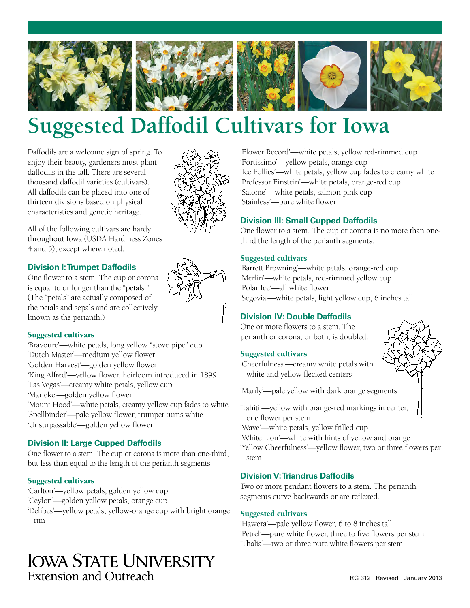

# **Suggested Daffodil Cultivars for Iowa**

Daffodils are a welcome sign of spring. To enjoy their beauty, gardeners must plant daffodils in the fall. There are several thousand daffodil varieties (cultivars). All daffodils can be placed into one of thirteen divisions based on physical characteristics and genetic heritage.

All of the following cultivars are hardy throughout Iowa (USDA Hardiness Zones 4 and 5), except where noted.

# **Division I: Trumpet Daffodils**

One flower to a stem. The cup or corona is equal to or longer than the "petals." (The "petals" are actually composed of the petals and sepals and are collectively known as the perianth.)

#### Suggested cultivars

'Bravoure'—white petals, long yellow "stove pipe" cup 'Dutch Master'—medium yellow flower 'Golden Harvest'—golden yellow flower 'King Alfred'—yellow flower, heirloom introduced in 1899 'Las Vegas'—creamy white petals, yellow cup 'Marieke'—golden yellow flower 'Mount Hood'—white petals, creamy yellow cup fades to white 'Spellbinder'—pale yellow flower, trumpet turns white 'Unsurpassable'—golden yellow flower

# **Division II: Large Cupped Daffodils**

One flower to a stem. The cup or corona is more than one-third, but less than equal to the length of the perianth segments.

### Suggested cultivars

'Carlton'—yellow petals, golden yellow cup 'Ceylon'—golden yellow petals, orange cup 'Delibes'—yellow petals, yellow-orange cup with bright orange rim

# **IOWA STATE UNIVERSITY Extension and Outreach**

'Flower Record'—white petals, yellow red-rimmed cup 'Fortissimo'—yellow petals, orange cup 'Ice Follies'—white petals, yellow cup fades to creamy white 'Professor Einstein'—white petals, orange-red cup 'Salome'—white petals, salmon pink cup 'Stainless'—pure white flower

# **Division III: Small Cupped Daffodils**

One flower to a stem. The cup or corona is no more than onethird the length of the perianth segments.

#### Suggested cultivars

'Barrett Browning'—white petals, orange-red cup 'Merlin'—white petals, red-rimmed yellow cup 'Polar Ice'—all white flower 'Segovia'—white petals, light yellow cup, 6 inches tall

# **Division IV: Double Daffodils**

One or more flowers to a stem. The perianth or corona, or both, is doubled.

#### Suggested cultivars

'Cheerfulness'—creamy white petals with white and yellow flecked centers

'Manly'—pale yellow with dark orange segments

- 'Tahiti'—yellow with orange-red markings in center, one flower per stem
- 'Wave'—white petals, yellow frilled cup
- 'White Lion'—white with hints of yellow and orange

'Yellow Cheerfulness'—yellow flower, two or three flowers per stem

#### **Division V: Triandrus Daffodils**

Two or more pendant flowers to a stem. The perianth segments curve backwards or are reflexed.

#### Suggested cultivars

'Hawera'—pale yellow flower, 6 to 8 inches tall 'Petrel'—pure white flower, three to five flowers per stem 'Thalia'—two or three pure white flowers per stem